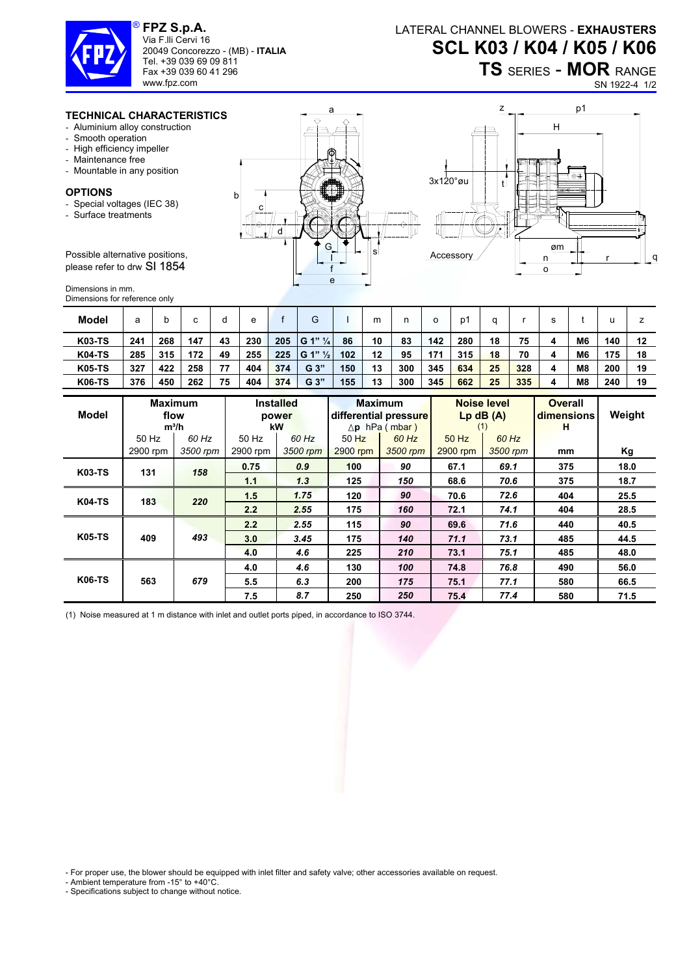

**FPZ S.p.A.**  Via F.lli Cervi 16 20049 Concorezzo - (MB) - **ITALIA** Tel. +39 039 69 09 811 Fax +39 039 60 41 296

www.fpz.com

## **TS** SERIES - **MOR** RANGE

SN 1922-4 1/2

## **TECHNICAL CHARACTERISTICS**

- Aluminium alloy construction
- Smooth operation
- High efficiency impeller
- Maintenance free
- Mountable in any position

## **OPTIONS**

- Special voltages (IEC 38)
- Surface treatments

Possible alternative positions, please refer to drw SI 1854

Dimensions in mm. Dimensions for reference only

| <b>Model</b>  | а   |     | c   | d  | е   |     | G                     |     | m  |     | о   | D´  |    |     |   |                | u   |    |
|---------------|-----|-----|-----|----|-----|-----|-----------------------|-----|----|-----|-----|-----|----|-----|---|----------------|-----|----|
| <b>K03-TS</b> | 241 | 268 | 147 | 43 | 230 | 205 | $ G 1"$ $\frac{1}{4}$ | 86  | 10 | 83  | 142 | 280 | 18 | 75  | 4 | M <sub>6</sub> | 140 | 12 |
| <b>K04-TS</b> | 285 | 315 | 172 | 49 | 255 | 225 | $ G 1"$ $\frac{1}{2}$ | 102 | 12 | 95  | 171 | 315 | 18 | 70  | 4 | M <sub>6</sub> | 175 | 18 |
| <b>K05-TS</b> | 327 | 422 | 258 | 77 | 404 | 374 | G <sub>3</sub>        | 150 | 13 | 300 | 345 | 634 | 25 | 328 | 4 | M <sub>8</sub> | 200 | 19 |
| <b>K06-TS</b> | 376 | 450 | 262 | 75 | 404 | 374 | G <sub>3</sub>        | 155 | 13 | 300 | 345 | 662 | 25 | 335 | 4 | M <sub>8</sub> | 240 | 19 |

| Model         |          | <b>Maximum</b><br>flow<br>$m^3/h$ |               | <b>Installed</b><br>power<br>kW |          | <b>Maximum</b><br>differential pressure<br>$\Delta$ p hPa (mbar) | (1)      | <b>Noise level</b><br>$Lp$ dB $(A)$ | <b>Overall</b><br>dimensions<br>н | Weight |
|---------------|----------|-----------------------------------|---------------|---------------------------------|----------|------------------------------------------------------------------|----------|-------------------------------------|-----------------------------------|--------|
|               | 50 Hz    | 60 Hz                             | 50 Hz         | $60$ Hz                         | $50$ Hz  | 60 Hz                                                            | $50$ Hz  | 60 Hz                               |                                   |        |
|               | 2900 rpm | 3500 rpm                          | 2900 rpm      | 3500 rpm                        | 2900 rpm | 3500 rpm                                                         | 2900 rpm | 3500 rpm                            | mm                                | Κg     |
| <b>K03-TS</b> | 131      | 158                               | 0.75          | 0.9                             | 100      | 90                                                               | 67.1     | 69.1                                | 375                               | 18.0   |
|               |          |                                   | 1.1           | 1.3                             | 125      | 150                                                              | 68.6     | 70.6                                | 375                               | 18.7   |
| <b>K04-TS</b> | 183      | 220                               | 1.5           | 1.75                            | 120      | 90                                                               | 70.6     | 72.6                                | 404                               | 25.5   |
|               |          |                                   | $2.2^{\circ}$ | 2.55                            | 175      | 160                                                              | 72.1     | 74.1                                | 404                               | 28.5   |
| <b>K05-TS</b> |          |                                   | 2.2           | 2.55                            | 115      | 90                                                               | 69.6     | 71.6                                | 440                               | 40.5   |
|               | 409      | 493                               | 3.0           | 3.45                            | 175      | 140                                                              | 71.1     | 73.1                                | 485                               | 44.5   |
|               |          |                                   | 4.0           | 4.6                             | 225      | 210                                                              | 73.1     | 75.1                                | 485                               | 48.0   |
| <b>K06-TS</b> |          |                                   | 4.0           | 4.6                             | 130      | 100                                                              | 74.8     | 76.8                                | 490                               | 56.0   |
|               | 563      | 679                               | 5.5           | 6.3                             | 200      | 175                                                              | 75.1     | 77.1                                | 580                               | 66.5   |
|               |          |                                   | 7.5           | 8.7                             | 250      | 250                                                              | 75.4     | 77.4                                | 580                               | 71.5   |

(1) Noise measured at 1 m distance with inlet and outlet ports piped, in accordance to ISO 3744.

- For proper use, the blower should be equipped with inlet filter and safety valve; other accessories available on request.

- Ambient temperature from -15° to +40°C.

- Specifications subject to change without notice.